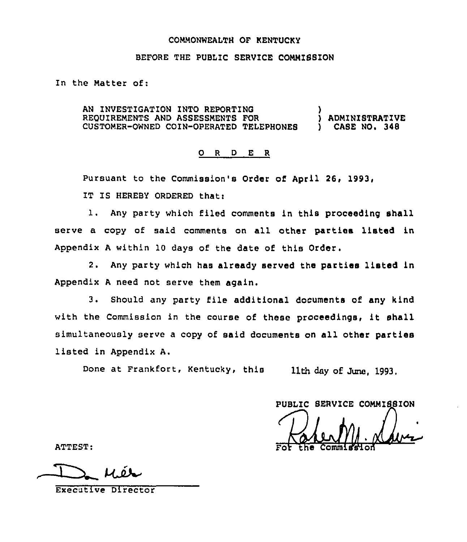## COMMONWEALTH OF KENTUCKY

## BEFORE THE PUBLIC SERVICE COMMISSION

In the Matter of:

AN INVESTIGATION INTO REPORTING REOUIREMENTS AND ASSESSMENTS FOR ) ADMINISTRATIVE CUSTOMER-OWNED COIN-OPERATED TELEPHONES

## 0 <sup>R</sup> <sup>D</sup> E <sup>R</sup>

Pursuant to the Commission's Order of April 26, 1993

IT IS HEREBY ORDERED that:

l. Any party which filed comments in this proceeding shall serve a copy of said comments on all other parties listed in Appendix <sup>A</sup> within 10 days of the date of this Order.

2. Any party which has already served the parties listed in Appendix <sup>A</sup> need not serve them again.

3. Should any party file additional documents of any kind with the Commission in the course of these proceedings, it shall simultaneously serve <sup>a</sup> copy of said documents on all other parties listed in Appendix A.

Done at Frankfort, Kentucky, this 11th day of June, 1993.

PUBLIC SERVICE COMMISSION ATTEST: The Commission of the Commission

Executive Director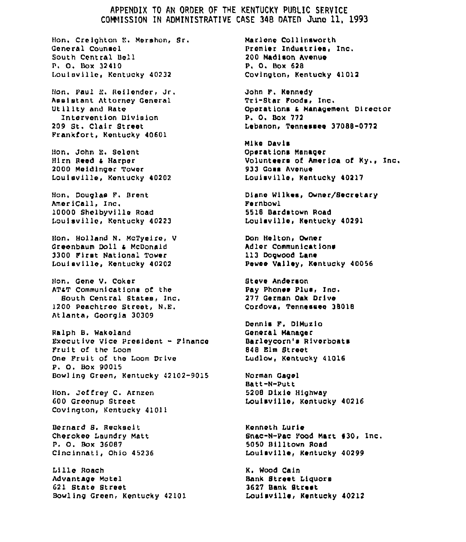## APPENDIX TO AN ORDER OF THE KENTUCKY PUDEIC SFRVICE COMMISSION IN ADMINISTRATIVE CASE 348 DATED June 11, 1993

Hon. Creighton E. Mershon, Sr. General Counsel South Central Ball P. O. Box 32410 Louisville, Kentucky 40232 Hon. Paul E. Reilender, Jr. Assistant Attorney General Utility and Rate Intervention Division 209 St. Clair Btreet Frankfort, Kentucky 40601 Hon. John E. Selent Him Reed 4 Harper 2000 Meldinger Tower Louisville, Kentucky 4020? Hon. Douglas F. Brent Amer iCall, Inc. 10000 Shelbyville Road Louisville, Kentucky 40223 Hon. Holland N. NcTyeire, <sup>V</sup> Greenbaum Doll 4 McDonald 3300 First National Tower louisville, Kentucky 40202 Hon. Gene V. Coker ATaT communications of the South Central States, Inc. 1200 Peachtree Street, N,E. Atlanta, Georgia 30309 Ralph B. Wakeland Executive Vice President - Finance Fruit of the Loom One Fruit of the Loom Drive P. 0, Box 90015 Bawling Green, Kentucky 42102-9015 Hon. Jeffrey C. Arnzen 600 Grocnup Street Covington, Kentucky 41011 Bernard S. Reckseit Cherokee Laundry Matt P. O. Box 36087 Cincinnati, Ohio 45236 Lille Roach Advantage Motel 621 State Street Bowling Green, Kentucky 42101

Mariana Coll insworth Premier Industries, Inc. 200 Madison Avenue P. 0. Box <sup>628</sup> Covlngton, Kentucky 41012 John F, Kennedy Tri-Btar Foods, Inc. Operations 4, Management Director P. O. Box 772 Lebanon, Tennessee 37088-0772 Mike Davis Operations Manager Volunteers of America of Ky., Inc. 933 Gomm Avenue Louisville, Kentucky 40217 Diane Wilkes, Owner/Secretary Fernbowl 5518 Bardstown Road Louisville, Rentucky 40291 Don Walton, Owner Adler Communications 113 Dogwood Lane Pewee Valley, Kentucky 40056 Steve Anderson Pay Phones Plus, Inc. 277 German Oak Drive Cordova, Tennessee 38018 Dennis F. DiMuzio General Manager Barleycorn's Riverboats 848 Elm Street Ludlow, Kentucky 41016 Norman Gagsl Batt-N-Putt 5208 Dixie Highway Louisville, Kentucky 40216 Kenneth Lurle Snac-N-Pac Food Mart 130, Inc. 5050 Billtown Road Louisville, Kentucky 40299 K. Wood Cain Bank Street Liquors 3627 Bank Street Louisville, Kentucky 40212